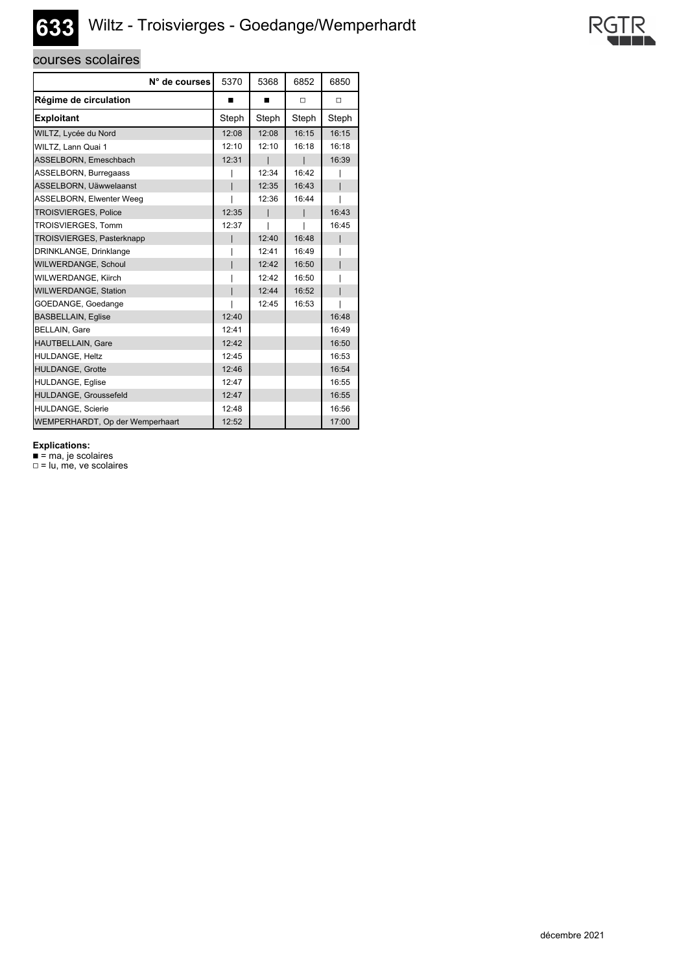## **633** Wiltz - Troisvierges - Goedange/Wemperhardt

## courses scolaires

| N° de courses                   | 5370  | 5368  | 6852   | 6850   |
|---------------------------------|-------|-------|--------|--------|
| Régime de circulation           | ■     | ■     | $\Box$ | $\Box$ |
| <b>Exploitant</b>               | Steph | Steph | Steph  | Steph  |
| WILTZ, Lycée du Nord            | 12:08 | 12:08 | 16:15  | 16:15  |
| WILTZ, Lann Quai 1              | 12:10 | 12:10 | 16:18  | 16:18  |
| ASSELBORN, Emeschbach           | 12:31 |       |        | 16:39  |
| ASSELBORN, Burregaass           |       | 12:34 | 16:42  |        |
| ASSELBORN, Uäwwelaanst          |       | 12:35 | 16:43  |        |
| ASSELBORN, Elwenter Weeg        |       | 12:36 | 16:44  |        |
| <b>TROISVIERGES, Police</b>     | 12:35 |       |        | 16:43  |
| <b>TROISVIERGES, Tomm</b>       | 12:37 |       |        | 16:45  |
| TROISVIERGES, Pasterknapp       |       | 12:40 | 16:48  |        |
| DRINKLANGE, Drinklange          |       | 12:41 | 16:49  |        |
| WILWERDANGE, Schoul             |       | 12:42 | 16:50  |        |
| WILWERDANGE, Kiirch             |       | 12:42 | 16:50  |        |
| <b>WILWERDANGE, Station</b>     |       | 12:44 | 16:52  |        |
| GOEDANGE, Goedange              |       | 12:45 | 16:53  |        |
| <b>BASBELLAIN, Eqlise</b>       | 12:40 |       |        | 16:48  |
| <b>BELLAIN, Gare</b>            | 12:41 |       |        | 16:49  |
| HAUTBELLAIN, Gare               | 12:42 |       |        | 16:50  |
| HULDANGE, Heltz                 | 12:45 |       |        | 16:53  |
| HULDANGE, Grotte                | 12:46 |       |        | 16:54  |
| HULDANGE, Eqlise                | 12:47 |       |        | 16:55  |
| HULDANGE, Groussefeld           | 12:47 |       |        | 16:55  |
| <b>HULDANGE. Scierie</b>        | 12:48 |       |        | 16:56  |
| WEMPERHARDT, Op der Wemperhaart | 12:52 |       |        | 17:00  |

**Explications:**

■ = ma, je scolaires

 $\square$  = lu, me, ve scolaires